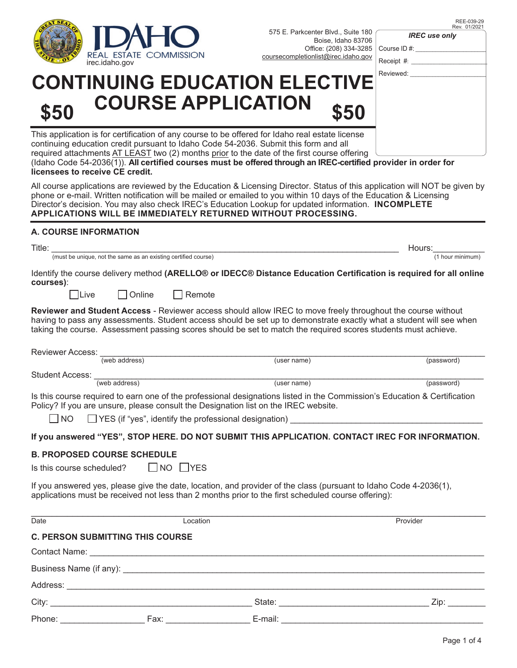

REE-039-29 Rev. 01/202

*IREC use only*

| OISE, IUAHO OJ <i>I</i> UO<br>e: (208) 334-3285   Course ID #:<br>st@irec.idaho.gov | Receipt #: |
|-------------------------------------------------------------------------------------|------------|
| <b>CTIVE</b>                                                                        | Reviewed:  |
|                                                                                     |            |

# **CONTINUING EDUCATION ELE COURSE APPLICATION \$50 \$50**

This application is for certification of any course to be offered for Idaho real estate license continuing education credit pursuant to Idaho Code 54-2036. Submit this form and all required attachments AT LEAST two (2) months prior to the date of the first course offering (Idaho Code 54-2036(1)). **All certified courses must be offered through an IREC-certified provider in order for licensees to receive CE credit.**

All course applications are reviewed by the Education & Licensing Director. Status of this application will NOT be given by phone or e-mail. Written notification will be mailed or emailed to you within 10 days of the Education & Licensing Director's decision. You may also check IREC's Education Lookup for updated information. **INCOMPLETE APPLICATIONS WILL BE IMMEDIATELY RETURNED WITHOUT PROCESSING.**

#### **A. COURSE INFORMATION**

| Title:                                                                                                                          | Hours:           |
|---------------------------------------------------------------------------------------------------------------------------------|------------------|
| (must be unique, not the same as an existing certified course)                                                                  | (1 hour minimum) |
| Identify the course delivery method (ARELLO® or IDECC® Distance Education Certification is required for all online<br>courses)ː |                  |

Live | Online | Remote

**Reviewer and Student Access** - Reviewer access should allow IREC to move freely throughout the course without having to pass any assessments. Student access should be set up to demonstrate exactly what a student will see when taking the course. Assessment passing scores should be set to match the required scores students must achieve.

|                                                                                                                                                                                                                          | Reviewer Access: <u>(web address)</u>                                                     | (user name)                                                                                                                                                                                                      | (password) |  |  |  |
|--------------------------------------------------------------------------------------------------------------------------------------------------------------------------------------------------------------------------|-------------------------------------------------------------------------------------------|------------------------------------------------------------------------------------------------------------------------------------------------------------------------------------------------------------------|------------|--|--|--|
|                                                                                                                                                                                                                          |                                                                                           |                                                                                                                                                                                                                  |            |  |  |  |
|                                                                                                                                                                                                                          | Student Access: <u>(web address)</u>                                                      | (user name)                                                                                                                                                                                                      | (password) |  |  |  |
|                                                                                                                                                                                                                          |                                                                                           | Is this course required to earn one of the professional designations listed in the Commission's Education & Certification<br>Policy? If you are unsure, please consult the Designation list on the IREC website. |            |  |  |  |
|                                                                                                                                                                                                                          | $\Box$ NO $\Box$ YES (if "yes", identify the professional designation) $\_\_\_\_\_\_\_\_$ |                                                                                                                                                                                                                  |            |  |  |  |
|                                                                                                                                                                                                                          |                                                                                           | If you answered "YES", STOP HERE. DO NOT SUBMIT THIS APPLICATION. CONTACT IREC FOR INFORMATION.                                                                                                                  |            |  |  |  |
| <b>B. PROPOSED COURSE SCHEDULE</b>                                                                                                                                                                                       |                                                                                           |                                                                                                                                                                                                                  |            |  |  |  |
| Is this course scheduled? $\Box$ NO $\Box$ YES                                                                                                                                                                           |                                                                                           |                                                                                                                                                                                                                  |            |  |  |  |
| If you answered yes, please give the date, location, and provider of the class (pursuant to Idaho Code 4-2036(1),<br>applications must be received not less than 2 months prior to the first scheduled course offering): |                                                                                           |                                                                                                                                                                                                                  |            |  |  |  |
| Date                                                                                                                                                                                                                     | Location                                                                                  |                                                                                                                                                                                                                  | Provider   |  |  |  |
| <b>C. PERSON SUBMITTING THIS COURSE</b>                                                                                                                                                                                  |                                                                                           |                                                                                                                                                                                                                  |            |  |  |  |
|                                                                                                                                                                                                                          |                                                                                           |                                                                                                                                                                                                                  |            |  |  |  |
|                                                                                                                                                                                                                          |                                                                                           |                                                                                                                                                                                                                  |            |  |  |  |
|                                                                                                                                                                                                                          |                                                                                           |                                                                                                                                                                                                                  |            |  |  |  |
|                                                                                                                                                                                                                          |                                                                                           |                                                                                                                                                                                                                  | Zip:       |  |  |  |
|                                                                                                                                                                                                                          |                                                                                           |                                                                                                                                                                                                                  |            |  |  |  |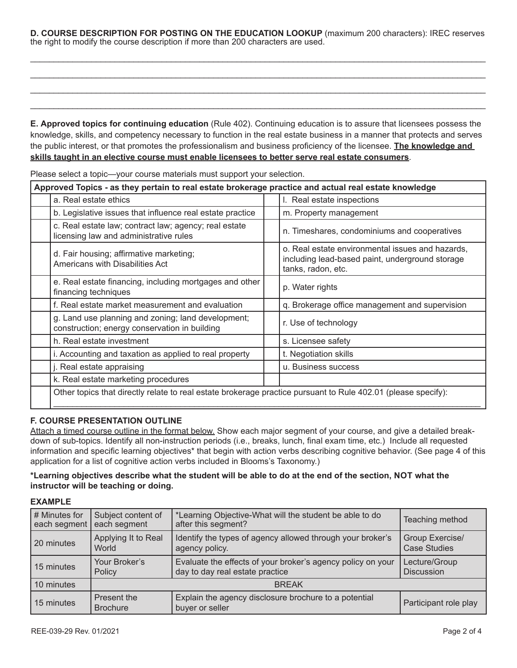**D. COURSE DESCRIPTION FOR POSTING ON THE EDUCATION LOOKUP** (maximum 200 characters): IREC reserves the right to modify the course description if more than 200 characters are used.

\_\_\_\_\_\_\_\_\_\_\_\_\_\_\_\_\_\_\_\_\_\_\_\_\_\_\_\_\_\_\_\_\_\_\_\_\_\_\_\_\_\_\_\_\_\_\_\_\_\_\_\_\_\_\_\_\_\_\_\_\_\_\_\_\_\_\_\_\_\_\_\_\_\_\_\_\_\_\_\_\_\_\_\_\_\_\_\_\_\_\_\_\_\_\_\_\_ \_\_\_\_\_\_\_\_\_\_\_\_\_\_\_\_\_\_\_\_\_\_\_\_\_\_\_\_\_\_\_\_\_\_\_\_\_\_\_\_\_\_\_\_\_\_\_\_\_\_\_\_\_\_\_\_\_\_\_\_\_\_\_\_\_\_\_\_\_\_\_\_\_\_\_\_\_\_\_\_\_\_\_\_\_\_\_\_\_\_\_\_\_\_\_\_\_ \_\_\_\_\_\_\_\_\_\_\_\_\_\_\_\_\_\_\_\_\_\_\_\_\_\_\_\_\_\_\_\_\_\_\_\_\_\_\_\_\_\_\_\_\_\_\_\_\_\_\_\_\_\_\_\_\_\_\_\_\_\_\_\_\_\_\_\_\_\_\_\_\_\_\_\_\_\_\_\_\_\_\_\_\_\_\_\_\_\_\_\_\_\_\_\_\_ \_\_\_\_\_\_\_\_\_\_\_\_\_\_\_\_\_\_\_\_\_\_\_\_\_\_\_\_\_\_\_\_\_\_\_\_\_\_\_\_\_\_\_\_\_\_\_\_\_\_\_\_\_\_\_\_\_\_\_\_\_\_\_\_\_\_\_\_\_\_\_\_\_\_\_\_\_\_\_\_\_\_\_\_\_\_\_\_\_\_\_\_\_\_\_\_\_

**E. Approved topics for continuing education** (Rule 402). Continuing education is to assure that licensees possess the knowledge, skills, and competency necessary to function in the real estate business in a manner that protects and serves the public interest, or that promotes the professionalism and business proficiency of the licensee. **The knowledge and skills taught in an elective course must enable licensees to better serve real estate consumers**.

| Approved Topics - as they pertain to real estate brokerage practice and actual real estate knowledge          |                                                                                                                           |  |  |  |
|---------------------------------------------------------------------------------------------------------------|---------------------------------------------------------------------------------------------------------------------------|--|--|--|
| a. Real estate ethics                                                                                         | I. Real estate inspections                                                                                                |  |  |  |
| b. Legislative issues that influence real estate practice                                                     | m. Property management                                                                                                    |  |  |  |
| c. Real estate law; contract law; agency; real estate<br>licensing law and administrative rules               | n. Timeshares, condominiums and cooperatives                                                                              |  |  |  |
| d. Fair housing; affirmative marketing;<br>Americans with Disabilities Act                                    | o. Real estate environmental issues and hazards,<br>including lead-based paint, underground storage<br>tanks, radon, etc. |  |  |  |
| e. Real estate financing, including mortgages and other<br>financing techniques                               | p. Water rights                                                                                                           |  |  |  |
| f. Real estate market measurement and evaluation                                                              | q. Brokerage office management and supervision                                                                            |  |  |  |
| g. Land use planning and zoning; land development;<br>construction; energy conservation in building           | r. Use of technology                                                                                                      |  |  |  |
| h. Real estate investment                                                                                     | s. Licensee safety                                                                                                        |  |  |  |
| i. Accounting and taxation as applied to real property                                                        | t. Negotiation skills                                                                                                     |  |  |  |
| j. Real estate appraising                                                                                     | u. Business success                                                                                                       |  |  |  |
| k. Real estate marketing procedures                                                                           |                                                                                                                           |  |  |  |
| Other topics that directly relate to real estate brokerage practice pursuant to Rule 402.01 (please specify): |                                                                                                                           |  |  |  |

Please select a topic—your course materials must support your selection.

#### **F. COURSE PRESENTATION OUTLINE**

Attach a timed course outline in the format below. Show each major segment of your course, and give a detailed breakdown of sub-topics. Identify all non-instruction periods (i.e., breaks, lunch, final exam time, etc.) Include all requested information and specific learning objectives\* that begin with action verbs describing cognitive behavior. (See page 4 of this application for a list of cognitive action verbs included in Blooms's Taxonomy.)

#### **\*Learning objectives describe what the student will be able to do at the end of the section, NOT what the instructor will be teaching or doing.**

#### **EXAMPLE**

| # Minutes for<br>each segment                | Subject content of<br>each segment | Teaching method                                                                                |                                        |
|----------------------------------------------|------------------------------------|------------------------------------------------------------------------------------------------|----------------------------------------|
| 20 minutes                                   | Applying It to Real<br>World       | Identify the types of agency allowed through your broker's<br>agency policy.                   | Group Exercise/<br><b>Case Studies</b> |
| Your Broker's<br>15 minutes<br>Policy        |                                    | Evaluate the effects of your broker's agency policy on your<br>day to day real estate practice | Lecture/Group<br><b>Discussion</b>     |
| 10 minutes                                   | <b>BREAK</b>                       |                                                                                                |                                        |
| Present the<br>15 minutes<br><b>Brochure</b> |                                    | Explain the agency disclosure brochure to a potential<br>buyer or seller                       | Participant role play                  |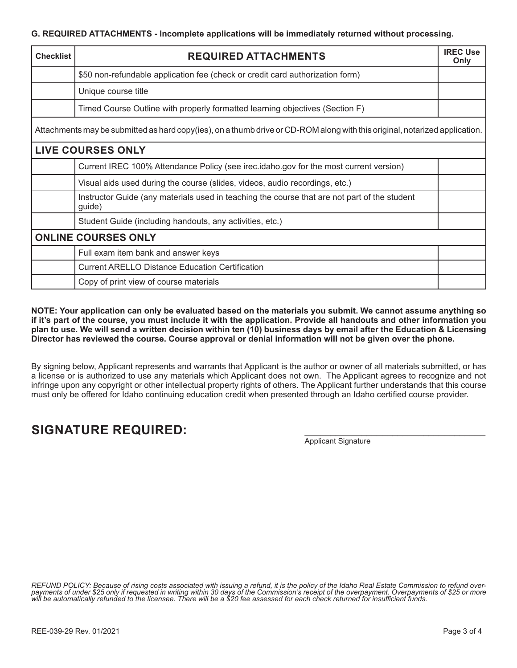| <b>Checklist</b>                                                                                                            | <b>REQUIRED ATTACHMENTS</b>                                                                            |  |  |  |
|-----------------------------------------------------------------------------------------------------------------------------|--------------------------------------------------------------------------------------------------------|--|--|--|
|                                                                                                                             | \$50 non-refundable application fee (check or credit card authorization form)                          |  |  |  |
|                                                                                                                             | Unique course title                                                                                    |  |  |  |
|                                                                                                                             | Timed Course Outline with properly formatted learning objectives (Section F)                           |  |  |  |
| Attachments may be submitted as hard copy(ies), on a thumb drive or CD-ROM along with this original, notarized application. |                                                                                                        |  |  |  |
|                                                                                                                             | <b>LIVE COURSES ONLY</b>                                                                               |  |  |  |
|                                                                                                                             | Current IREC 100% Attendance Policy (see irec.idaho.gov for the most current version)                  |  |  |  |
|                                                                                                                             | Visual aids used during the course (slides, videos, audio recordings, etc.)                            |  |  |  |
|                                                                                                                             | Instructor Guide (any materials used in teaching the course that are not part of the student<br>guide) |  |  |  |
|                                                                                                                             | Student Guide (including handouts, any activities, etc.)                                               |  |  |  |
| <b>ONLINE COURSES ONLY</b>                                                                                                  |                                                                                                        |  |  |  |
|                                                                                                                             | Full exam item bank and answer keys                                                                    |  |  |  |
|                                                                                                                             | <b>Current ARELLO Distance Education Certification</b>                                                 |  |  |  |
|                                                                                                                             | Copy of print view of course materials                                                                 |  |  |  |

**NOTE: Your application can only be evaluated based on the materials you submit. We cannot assume anything so if it's part of the course, you must include it with the application. Provide all handouts and other information you plan to use. We will send a written decision within ten (10) business days by email after the Education & Licensing Director has reviewed the course. Course approval or denial information will not be given over the phone.**

By signing below, Applicant represents and warrants that Applicant is the author or owner of all materials submitted, or has a license or is authorized to use any materials which Applicant does not own. The Applicant agrees to recognize and not infringe upon any copyright or other intellectual property rights of others. The Applicant further understands that this course must only be offered for Idaho continuing education credit when presented through an Idaho certified course provider.

## SIGNATURE REQUIRED:

Applicant Signature

REFUND POLICY: Because of rising costs associated with issuing a refund, it is the policy of the Idaho Real Estate Commission to refund over-<br>payments of under \$25 only if requested in writing within 30 days of the Commiss